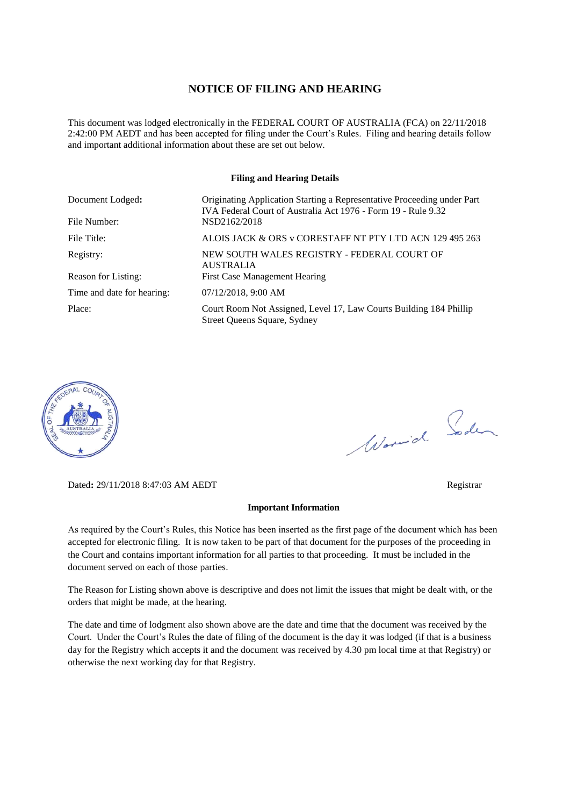#### **NOTICE OF FILING AND HEARING**

This document was lodged electronically in the FEDERAL COURT OF AUSTRALIA (FCA) on 22/11/2018 2:42:00 PM AEDT and has been accepted for filing under the Court's Rules. Filing and hearing details follow and important additional information about these are set out below.

#### **Filing and Hearing Details**

| Document Lodged:<br>File Number: | Originating Application Starting a Representative Proceeding under Part<br>IVA Federal Court of Australia Act 1976 - Form 19 - Rule 9.32<br>NSD2162/2018 |
|----------------------------------|----------------------------------------------------------------------------------------------------------------------------------------------------------|
|                                  |                                                                                                                                                          |
| File Title:                      | ALOIS JACK & ORS v CORESTAFF NT PTY LTD ACN 129 495 263                                                                                                  |
| Registry:                        | NEW SOUTH WALES REGISTRY - FEDERAL COURT OF<br><b>AUSTRALIA</b>                                                                                          |
| Reason for Listing:              | <b>First Case Management Hearing</b>                                                                                                                     |
| Time and date for hearing:       | $07/12/2018$ , 9:00 AM                                                                                                                                   |
| Place:                           | Court Room Not Assigned, Level 17, Law Courts Building 184 Phillip<br>Street Queens Square, Sydney                                                       |



Dated**:** 29/11/2018 8:47:03 AM AEDT Registrar

#### **Important Information**

As required by the Court's Rules, this Notice has been inserted as the first page of the document which has been accepted for electronic filing. It is now taken to be part of that document for the purposes of the proceeding in the Court and contains important information for all parties to that proceeding. It must be included in the document served on each of those parties.

The Reason for Listing shown above is descriptive and does not limit the issues that might be dealt with, or the orders that might be made, at the hearing.

The date and time of lodgment also shown above are the date and time that the document was received by the Court. Under the Court's Rules the date of filing of the document is the day it was lodged (if that is a business day for the Registry which accepts it and the document was received by 4.30 pm local time at that Registry) or otherwise the next working day for that Registry.

Word Soden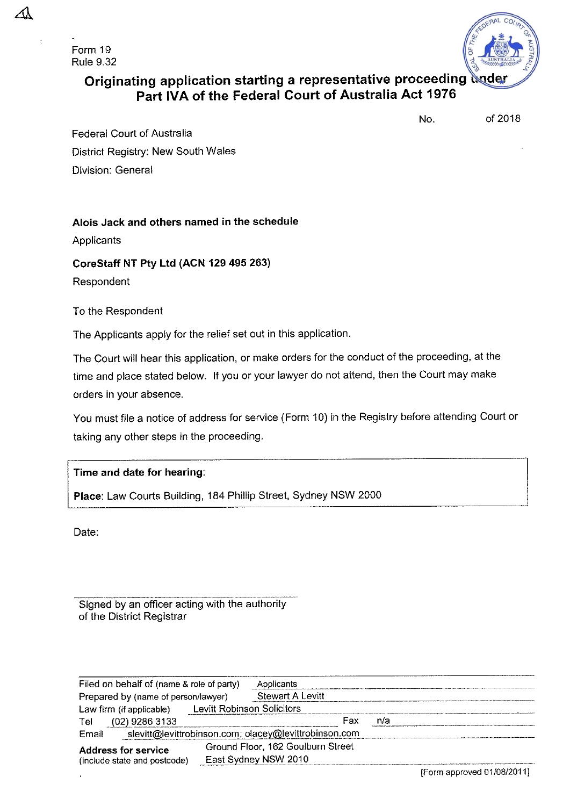Form 19 **Rule 9.32** 



# Originating application starting a representative proceeding under Part IVA of the Federal Court of Australia Act 1976

of 2018

No.

**Federal Court of Australia** District Registry: New South Wales Division: General

# Alois Jack and others named in the schedule

Applicants

CoreStaff NT Pty Ltd (ACN 129 495 263)

Respondent

To the Respondent

The Applicants apply for the relief set out in this application.

The Court will hear this application, or make orders for the conduct of the proceeding, at the time and place stated below. If you or your lawyer do not attend, then the Court may make orders in your absence.

You must file a notice of address for service (Form 10) in the Registry before attending Court or taking any other steps in the proceeding.

# Time and date for hearing:

Place: Law Courts Building, 184 Phillip Street, Sydney NSW 2000

Date:

Signed by an officer acting with the authority of the District Registrar

| Filed on behalf of (name & role of party)                      |                            | Applicants                        |     |  |
|----------------------------------------------------------------|----------------------------|-----------------------------------|-----|--|
| Prepared by (name of person/lawyer)                            |                            | <b>Stewart A Levitt</b>           |     |  |
| Law firm (if applicable)                                       | Levitt Robinson Solicitors |                                   |     |  |
| $(02)$ 9286 3133<br>Tel                                        |                            | Fax                               | n/a |  |
| slevitt@levittrobinson.com; olacey@levittrobinson.com<br>Email |                            |                                   |     |  |
| <b>Address for service</b><br>(include state and postcode)     |                            | Ground Floor, 162 Goulburn Street |     |  |
|                                                                |                            | East Sydney NSW 2010              |     |  |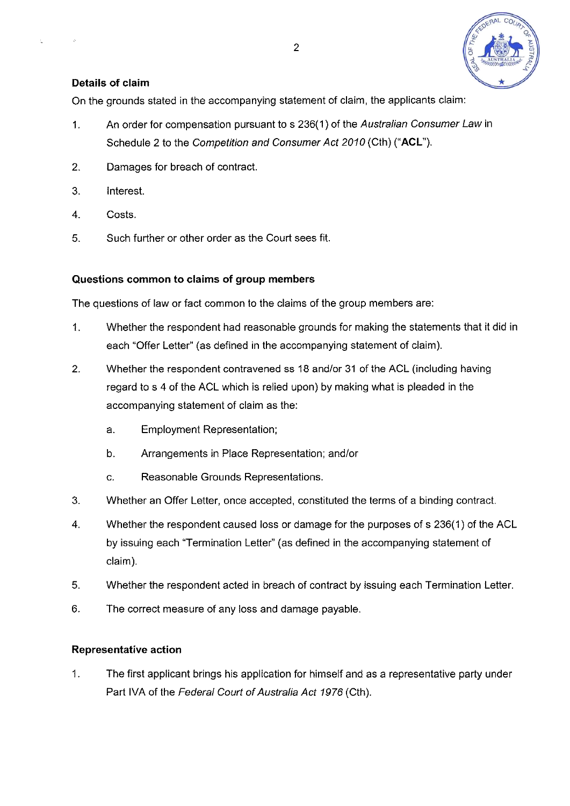

### Details of claim

On the grounds stated in the accompanying statement of claim, the applicants claim:

- An order for compensation pursuant to s 236(1) of the Australian Consumer Law in  $1<sub>1</sub>$ Schedule 2 to the Competition and Consumer Act 2010 (Cth) ("ACL").
- $2<sub>1</sub>$ Damages for breach of contract.
- 3. Interest.
- $\overline{4}$ . Costs.
- 5. Such further or other order as the Court sees fit.

#### Questions common to claims of group members

The questions of law or fact common to the claims of the group members are:

- $1<sub>1</sub>$ Whether the respondent had reasonable grounds for making the statements that it did in each "Offer Letter" (as defined in the accompanying statement of claim).
- $2.$ Whether the respondent contravened ss 18 and/or 31 of the ACL (including having regard to s 4 of the ACL which is relied upon) by making what is pleaded in the accompanying statement of claim as the:
	- a. **Employment Representation:**
	- b. Arrangements in Place Representation; and/or
	- Reasonable Grounds Representations. c.
- $3<sub>1</sub>$ Whether an Offer Letter, once accepted, constituted the terms of a binding contract.
- 4. Whether the respondent caused loss or damage for the purposes of s 236(1) of the ACL by issuing each "Termination Letter" (as defined in the accompanying statement of claim).
- 5. Whether the respondent acted in breach of contract by issuing each Termination Letter.
- 6. The correct measure of any loss and damage payable.

#### **Representative action**

 $1.$ The first applicant brings his application for himself and as a representative party under Part IVA of the Federal Court of Australia Act 1976 (Cth).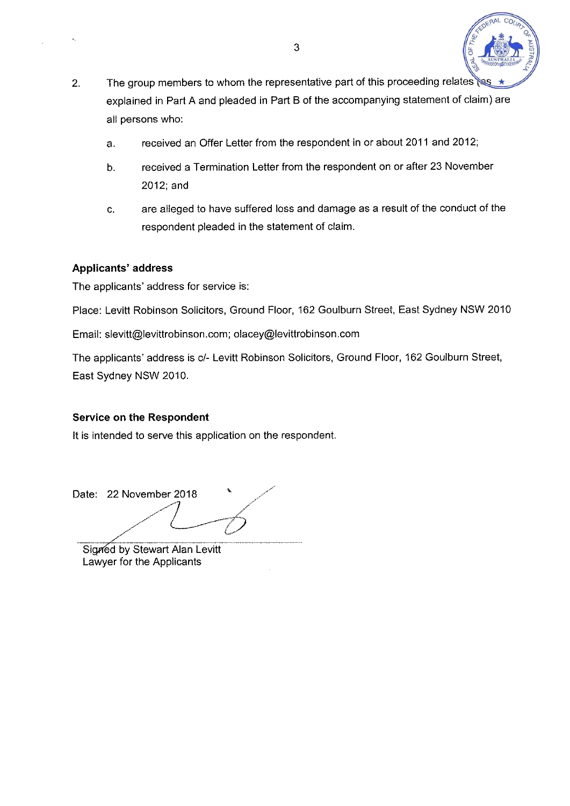

- The group members to whom the representative part of this proceeding relates  $2<sub>1</sub>$ explained in Part A and pleaded in Part B of the accompanying statement of claim) are all persons who:
	- received an Offer Letter from the respondent in or about 2011 and 2012;  $a<sub>1</sub>$
	- received a Termination Letter from the respondent on or after 23 November  $b.$  $2012$ ; and
	- are alleged to have suffered loss and damage as a result of the conduct of the c. respondent pleaded in the statement of claim.

### **Applicants' address**

The applicants' address for service is:

Place: Levitt Robinson Solicitors, Ground Floor, 162 Goulburn Street, East Sydney NSW 2010

Email: slevitt@levittrobinson.com; olacey@levittrobinson.com

The applicants' address is c/- Levitt Robinson Solicitors, Ground Floor, 162 Goulburn Street, East Sydney NSW 2010.

# **Service on the Respondent**

It is intended to serve this application on the respondent.

Date: 22 November 2018

Signed by Stewart Alan Levitt Lawyer for the Applicants